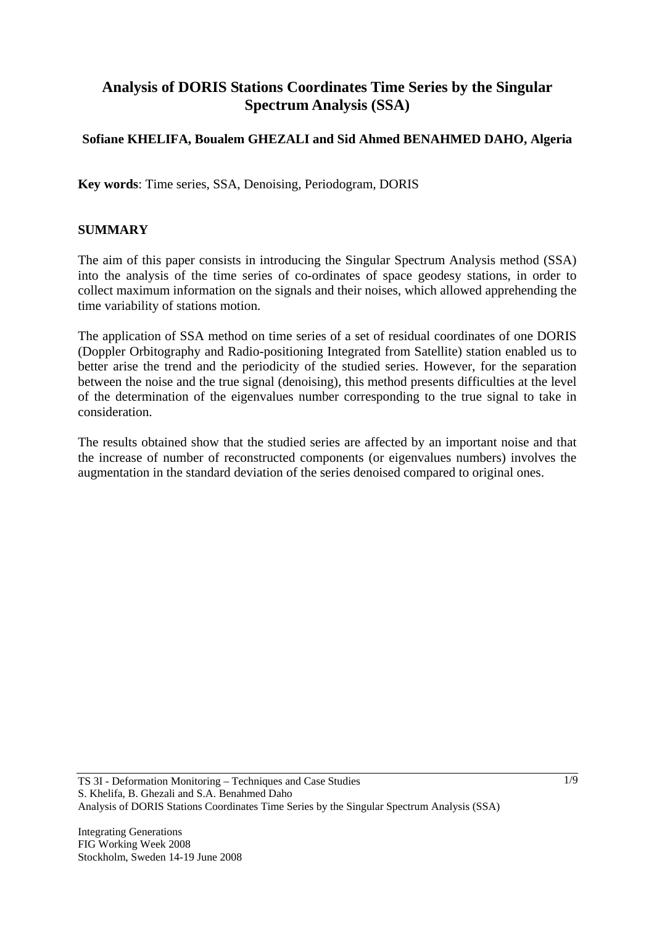# **Analysis of DORIS Stations Coordinates Time Series by the Singular Spectrum Analysis (SSA)**

## **Sofiane KHELIFA, Boualem GHEZALI and Sid Ahmed BENAHMED DAHO, Algeria**

**Key words**: Time series, SSA, Denoising, Periodogram, DORIS

### **SUMMARY**

The aim of this paper consists in introducing the Singular Spectrum Analysis method (SSA) into the analysis of the time series of co-ordinates of space geodesy stations, in order to collect maximum information on the signals and their noises, which allowed apprehending the time variability of stations motion.

The application of SSA method on time series of a set of residual coordinates of one DORIS (Doppler Orbitography and Radio-positioning Integrated from Satellite) station enabled us to better arise the trend and the periodicity of the studied series. However, for the separation between the noise and the true signal (denoising), this method presents difficulties at the level of the determination of the eigenvalues number corresponding to the true signal to take in consideration.

The results obtained show that the studied series are affected by an important noise and that the increase of number of reconstructed components (or eigenvalues numbers) involves the augmentation in the standard deviation of the series denoised compared to original ones.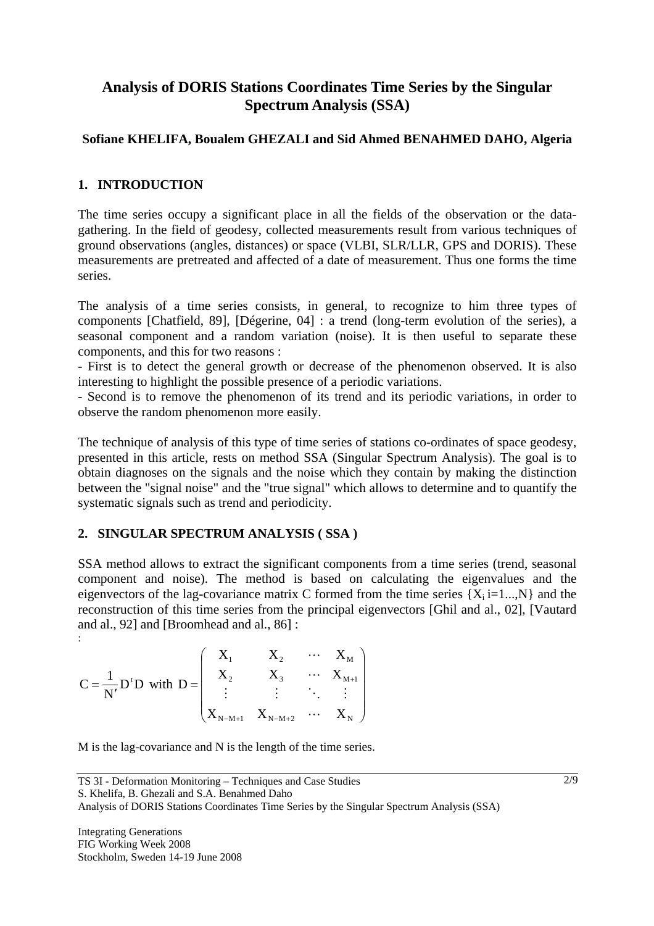## **Analysis of DORIS Stations Coordinates Time Series by the Singular Spectrum Analysis (SSA)**

### **Sofiane KHELIFA, Boualem GHEZALI and Sid Ahmed BENAHMED DAHO, Algeria**

### **1. INTRODUCTION**

The time series occupy a significant place in all the fields of the observation or the datagathering. In the field of geodesy, collected measurements result from various techniques of ground observations (angles, distances) or space (VLBI, SLR/LLR, GPS and DORIS). These measurements are pretreated and affected of a date of measurement. Thus one forms the time series.

The analysis of a time series consists, in general, to recognize to him three types of components [Chatfield, 89], [Dégerine, 04] : a trend (long-term evolution of the series), a seasonal component and a random variation (noise). It is then useful to separate these components, and this for two reasons :

- First is to detect the general growth or decrease of the phenomenon observed. It is also interesting to highlight the possible presence of a periodic variations.

- Second is to remove the phenomenon of its trend and its periodic variations, in order to observe the random phenomenon more easily.

The technique of analysis of this type of time series of stations co-ordinates of space geodesy, presented in this article, rests on method SSA (Singular Spectrum Analysis). The goal is to obtain diagnoses on the signals and the noise which they contain by making the distinction between the "signal noise" and the "true signal" which allows to determine and to quantify the systematic signals such as trend and periodicity.

### **2. SINGULAR SPECTRUM ANALYSIS ( SSA )**

SSA method allows to extract the significant components from a time series (trend, seasonal component and noise). The method is based on calculating the eigenvalues and the eigenvectors of the lag-covariance matrix C formed from the time series  ${X_i}$  i=1...,N and the reconstruction of this time series from the principal eigenvectors [Ghil and al., 02], [Vautard and al., 92] and [Broomhead and al., 86] :

$$
C = \frac{1}{N'} D^t D \text{ with } D = \begin{pmatrix} X_1 & X_2 & \cdots & X_M \\ X_2 & X_3 & \cdots & X_{M+1} \\ \vdots & \vdots & \ddots & \vdots \\ X_{N-M+1} & X_{N-M+2} & \cdots & X_N \end{pmatrix}
$$

M is the lag-covariance and N is the length of the time series.

: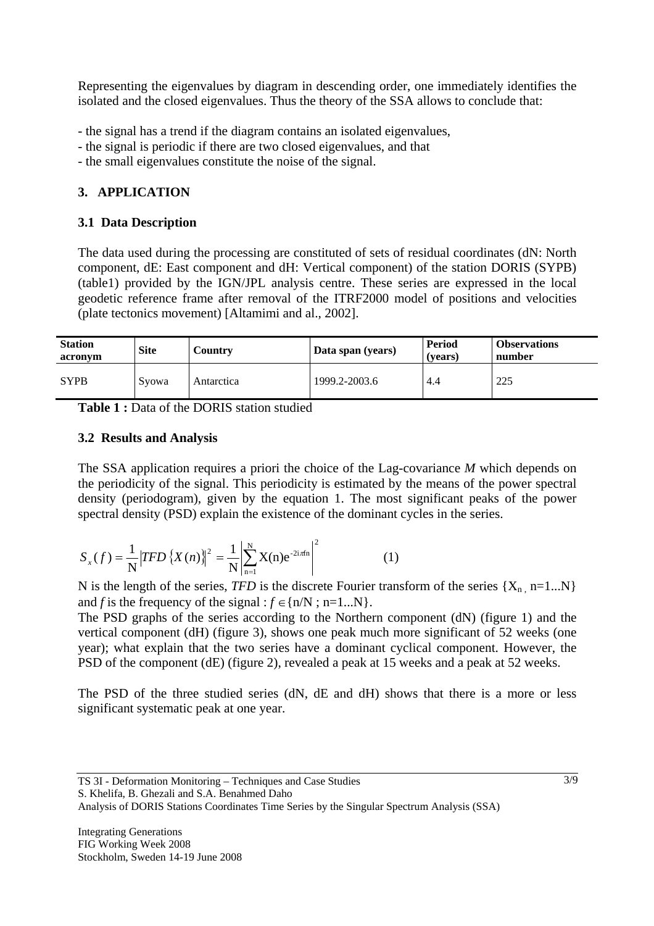Representing the eigenvalues by diagram in descending order, one immediately identifies the isolated and the closed eigenvalues. Thus the theory of the SSA allows to conclude that:

- the signal has a trend if the diagram contains an isolated eigenvalues,
- the signal is periodic if there are two closed eigenvalues, and that
- the small eigenvalues constitute the noise of the signal.

## **3. APPLICATION**

### **3.1 Data Description**

The data used during the processing are constituted of sets of residual coordinates (dN: North component, dE: East component and dH: Vertical component) of the station DORIS (SYPB) (table1) provided by the IGN/JPL analysis centre. These series are expressed in the local geodetic reference frame after removal of the ITRF2000 model of positions and velocities (plate tectonics movement) [Altamimi and al., 2002].

| <b>Station</b><br>acronym | <b>Site</b> | Country    | Data span (years) | Period<br>(vears) | <b>Observations</b><br>number |  |
|---------------------------|-------------|------------|-------------------|-------------------|-------------------------------|--|
| <b>SYPB</b>               | Svowa       | Antarctica | 1999.2-2003.6     | 4.4               | 225                           |  |

**Table 1 :** Data of the DORIS station studied

### **3.2 Results and Analysis**

The SSA application requires a priori the choice of the Lag-covariance *M* which depends on the periodicity of the signal. This periodicity is estimated by the means of the power spectral density (periodogram), given by the equation 1. The most significant peaks of the power spectral density (PSD) explain the existence of the dominant cycles in the series.

$$
S_x(f) = \frac{1}{N} |TFD\left\{X(n)\right\}^2 = \frac{1}{N} \left| \sum_{n=1}^{N} X(n) e^{-2i\pi n} \right|^2 \tag{1}
$$

N is the length of the series, *TFD* is the discrete Fourier transform of the series  $\{X_n, n=1...N\}$ and *f* is the frequency of the signal :  $f \in \{n/N ; n=1...N\}$ .

The PSD graphs of the series according to the Northern component (dN) (figure 1) and the vertical component (dH) (figure 3), shows one peak much more significant of 52 weeks (one year); what explain that the two series have a dominant cyclical component. However, the PSD of the component (dE) (figure 2), revealed a peak at 15 weeks and a peak at 52 weeks.

The PSD of the three studied series (dN, dE and dH) shows that there is a more or less significant systematic peak at one year.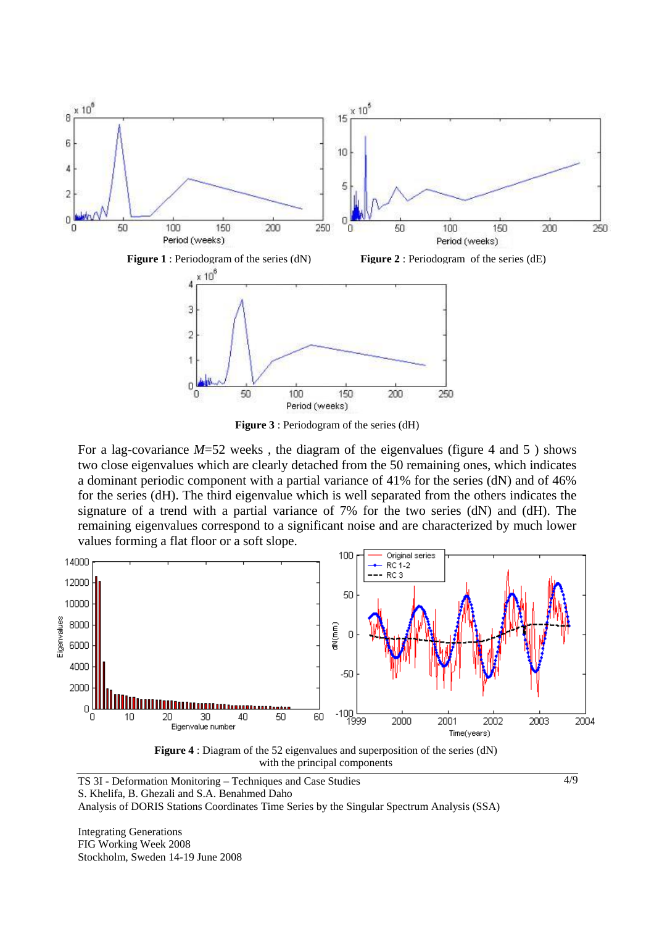

**Figure 3** : Periodogram of the series (dH)

For a lag-covariance  $M=52$  weeks, the diagram of the eigenvalues (figure 4 and 5) shows two close eigenvalues which are clearly detached from the 50 remaining ones, which indicates a dominant periodic component with a partial variance of 41% for the series (dN) and of 46% for the series (dH). The third eigenvalue which is well separated from the others indicates the signature of a trend with a partial variance of 7% for the two series (dN) and (dH). The remaining eigenvalues correspond to a significant noise and are characterized by much lower values forming a flat floor or a soft slope.



**Figure 4** : Diagram of the 52 eigenvalues and superposition of the series (dN) with the principal components

4/9

TS 3I - Deformation Monitoring – Techniques and Case Studies S. Khelifa, B. Ghezali and S.A. Benahmed Daho Analysis of DORIS Stations Coordinates Time Series by the Singular Spectrum Analysis (SSA)

Integrating Generations FIG Working Week 2008 Stockholm, Sweden 14-19 June 2008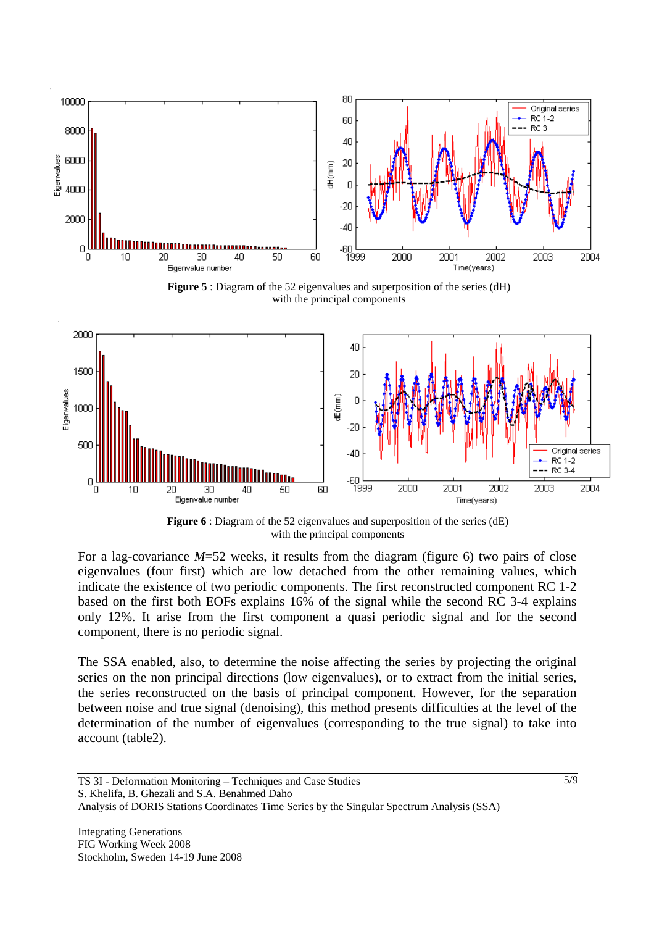

**Figure 5** : Diagram of the 52 eigenvalues and superposition of the series (dH) with the principal components



**Figure 6** : Diagram of the 52 eigenvalues and superposition of the series (dE) with the principal components

For a lag-covariance *M*=52 weeks, it results from the diagram (figure 6) two pairs of close eigenvalues (four first) which are low detached from the other remaining values, which indicate the existence of two periodic components. The first reconstructed component RC 1-2 based on the first both EOFs explains 16% of the signal while the second RC 3-4 explains only 12%. It arise from the first component a quasi periodic signal and for the second component, there is no periodic signal.

The SSA enabled, also, to determine the noise affecting the series by projecting the original series on the non principal directions (low eigenvalues), or to extract from the initial series, the series reconstructed on the basis of principal component. However, for the separation between noise and true signal (denoising), this method presents difficulties at the level of the determination of the number of eigenvalues (corresponding to the true signal) to take into account (table2).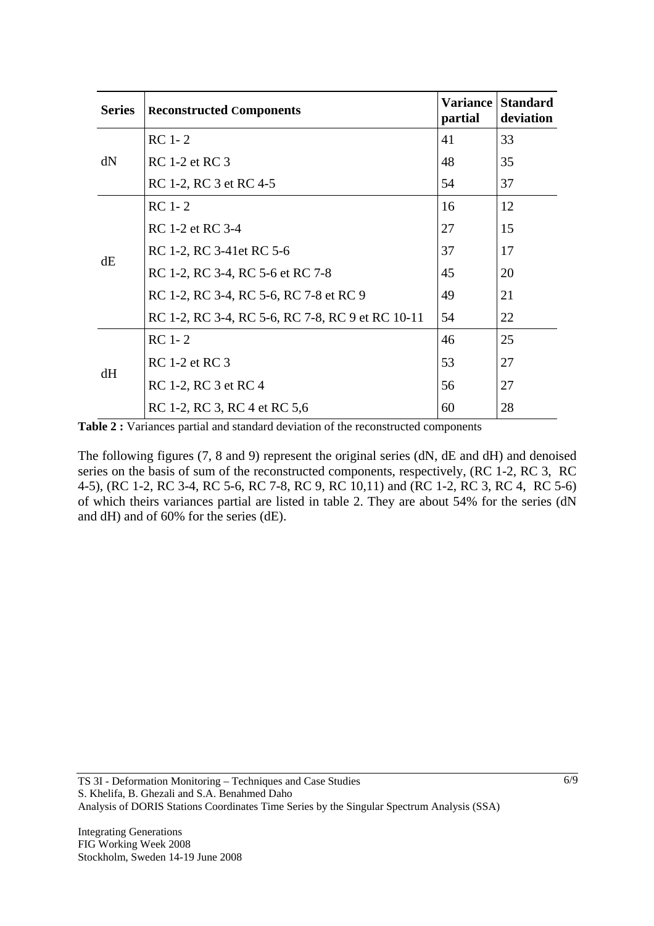| <b>Series</b> | <b>Reconstructed Components</b>                  | partial | <b>Variance Standard</b><br>deviation |
|---------------|--------------------------------------------------|---------|---------------------------------------|
| dN            | $RC 1-2$                                         | 41      | 33                                    |
|               | <b>RC</b> 1-2 et <b>RC</b> 3                     | 48      | 35                                    |
|               | RC 1-2, RC 3 et RC 4-5                           | 54      | 37                                    |
| dE            | $RC 1-2$                                         | 16      | 12                                    |
|               | RC 1-2 et RC 3-4                                 | 27      | 15                                    |
|               | RC 1-2, RC 3-41et RC 5-6                         | 37      | 17                                    |
|               | RC 1-2, RC 3-4, RC 5-6 et RC 7-8                 | 45      | 20                                    |
|               | RC 1-2, RC 3-4, RC 5-6, RC 7-8 et RC 9           | 49      | 21                                    |
|               | RC 1-2, RC 3-4, RC 5-6, RC 7-8, RC 9 et RC 10-11 | 54      | 22                                    |
| dH            | $RC 1-2$                                         | 46      | 25                                    |
|               | <b>RC</b> 1-2 et <b>RC</b> 3                     | 53      | 27                                    |
|               | RC 1-2, RC 3 et RC 4                             | 56      | 27                                    |
|               | RC 1-2, RC 3, RC 4 et RC 5,6                     | 60      | 28                                    |

**Table 2 :** Variances partial and standard deviation of the reconstructed components

The following figures (7, 8 and 9) represent the original series (dN, dE and dH) and denoised series on the basis of sum of the reconstructed components, respectively, (RC 1-2, RC 3, RC 4-5), (RC 1-2, RC 3-4, RC 5-6, RC 7-8, RC 9, RC 10,11) and (RC 1-2, RC 3, RC 4, RC 5-6) of which theirs variances partial are listed in table 2. They are about 54% for the series (dN and dH) and of 60% for the series (dE).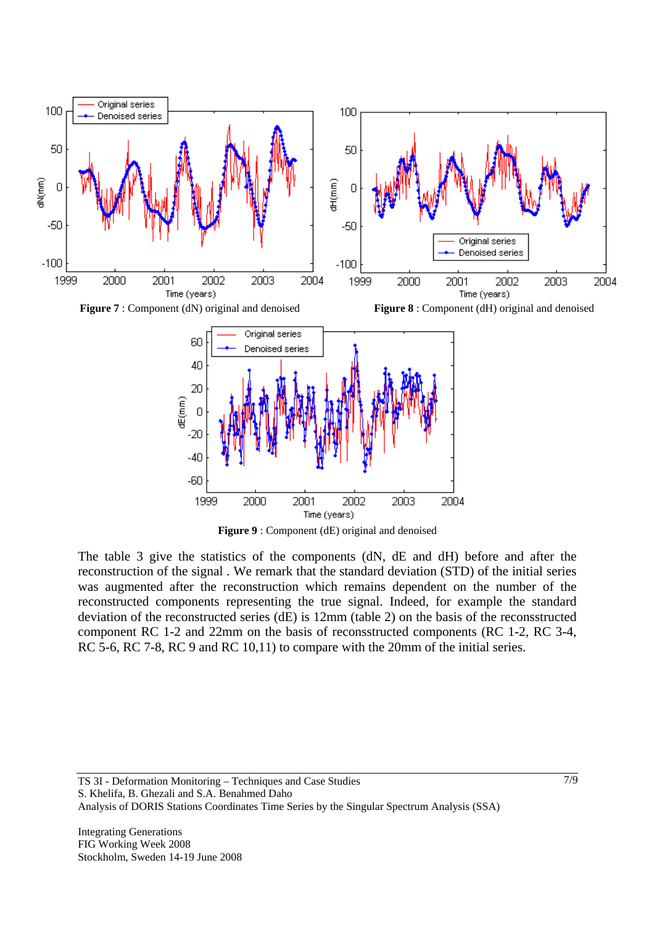

**Figure 9** : Component (dE) original and denoised

The table 3 give the statistics of the components (dN, dE and dH) before and after the reconstruction of the signal . We remark that the standard deviation (STD) of the initial series was augmented after the reconstruction which remains dependent on the number of the reconstructed components representing the true signal. Indeed, for example the standard deviation of the reconstructed series (dE) is 12mm (table 2) on the basis of the reconsstructed component RC 1-2 and 22mm on the basis of reconsstructed components (RC 1-2, RC 3-4, RC 5-6, RC 7-8, RC 9 and RC 10,11) to compare with the 20mm of the initial series.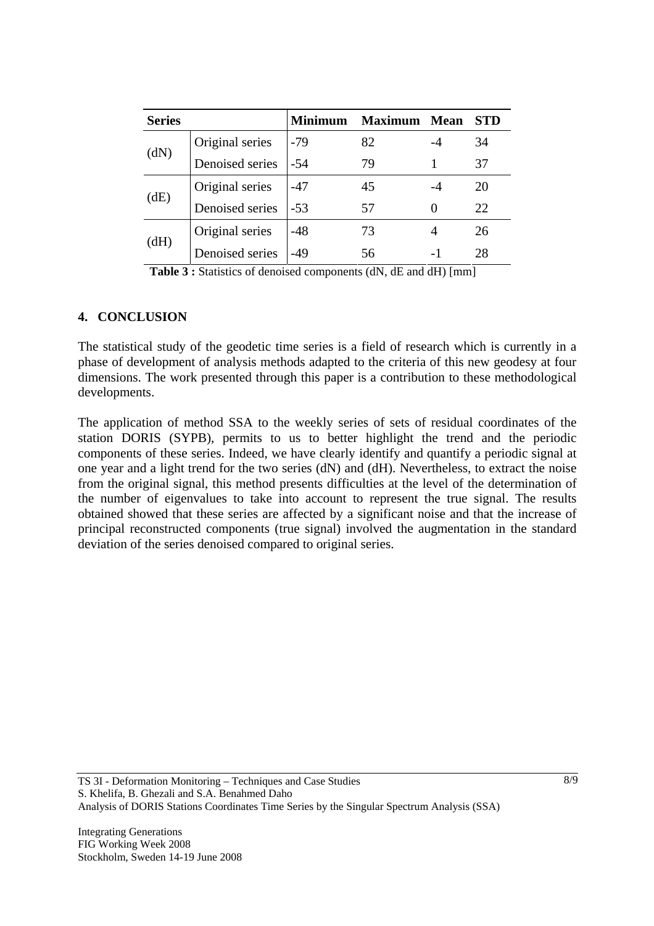| <b>Series</b> |                 | <b>Minimum</b> | <b>Maximum</b> | <b>Mean</b> | STD |
|---------------|-----------------|----------------|----------------|-------------|-----|
| (dN)          | Original series | $-79$          | 82             |             | 34  |
|               | Denoised series | -54            | 79             |             | 37  |
| (dE)          | Original series | -47            | 45             |             | 20  |
|               | Denoised series | $-53$          | 57             | $\theta$    | 22  |
| (dH)          | Original series | -48            | 73             |             | 26  |
|               | Denoised series | -49            | 56             |             | 28  |

**Table 3 :** Statistics of denoised components (dN, dE and dH) [mm]

### **4. CONCLUSION**

The statistical study of the geodetic time series is a field of research which is currently in a phase of development of analysis methods adapted to the criteria of this new geodesy at four dimensions. The work presented through this paper is a contribution to these methodological developments.

The application of method SSA to the weekly series of sets of residual coordinates of the station DORIS (SYPB), permits to us to better highlight the trend and the periodic components of these series. Indeed, we have clearly identify and quantify a periodic signal at one year and a light trend for the two series (dN) and (dH). Nevertheless, to extract the noise from the original signal, this method presents difficulties at the level of the determination of the number of eigenvalues to take into account to represent the true signal. The results obtained showed that these series are affected by a significant noise and that the increase of principal reconstructed components (true signal) involved the augmentation in the standard deviation of the series denoised compared to original series.